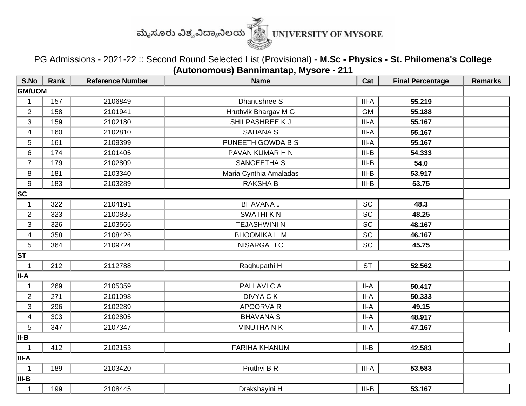

PG Admissions - 2021-22 :: Second Round Selected List (Provisional) - **M.Sc - Physics - St. Philomena's College (Autonomous) Bannimantap, Mysore - 211**

| S.No                    | Rank | <b>Reference Number</b> | <b>Name</b>            | Cat       | <b>Final Percentage</b> | <b>Remarks</b> |  |  |
|-------------------------|------|-------------------------|------------------------|-----------|-------------------------|----------------|--|--|
| <b>GM/UOM</b>           |      |                         |                        |           |                         |                |  |  |
| 1                       | 157  | 2106849                 | Dhanushree S           | III-A     | 55.219                  |                |  |  |
| $\overline{2}$          | 158  | 2101941                 | Hruthvik Bhargav M G   | <b>GM</b> | 55.188                  |                |  |  |
| 3                       | 159  | 2102180                 | SHILPASHREE K J        | $III-A$   | 55.167                  |                |  |  |
| 4                       | 160  | 2102810                 | <b>SAHANA S</b>        | III-A     | 55.167                  |                |  |  |
| 5                       | 161  | 2109399                 | PUNEETH GOWDA B S      | III-A     | 55.167                  |                |  |  |
| 6                       | 174  | 2101405                 | PAVAN KUMAR H N        | $III-B$   | 54.333                  |                |  |  |
| $\overline{7}$          | 179  | 2102809                 | SANGEETHA S            | $III-B$   | 54.0                    |                |  |  |
| 8                       | 181  | 2103340                 | Maria Cynthia Amaladas | $III-B$   | 53.917                  |                |  |  |
| 9                       | 183  | 2103289                 | <b>RAKSHA B</b>        | $III-B$   | 53.75                   |                |  |  |
| SC                      |      |                         |                        |           |                         |                |  |  |
| $\mathbf{1}$            | 322  | 2104191                 | <b>BHAVANA J</b>       | <b>SC</b> | 48.3                    |                |  |  |
| $\overline{2}$          | 323  | 2100835                 | <b>SWATHIKN</b>        | <b>SC</b> | 48.25                   |                |  |  |
| 3                       | 326  | 2103565                 | <b>TEJASHWINI N</b>    | <b>SC</b> | 48.167                  |                |  |  |
| $\overline{\mathbf{4}}$ | 358  | 2108426                 | ВНООМІКА Н М           | <b>SC</b> | 46.167                  |                |  |  |
| 5                       | 364  | 2109724                 | NISARGA H C            | <b>SC</b> | 45.75                   |                |  |  |
| <b>ST</b>               |      |                         |                        |           |                         |                |  |  |
| $\mathbf 1$             | 212  | 2112788                 | Raghupathi H           | <b>ST</b> | 52.562                  |                |  |  |
| II-A                    |      |                         |                        |           |                         |                |  |  |
| $\mathbf{1}$            | 269  | 2105359                 | PALLAVI C A            | $II-A$    | 50.417                  |                |  |  |
| $\overline{2}$          | 271  | 2101098                 | <b>DIVYA CK</b>        | $II-A$    | 50.333                  |                |  |  |
| 3                       | 296  | 2102289                 | <b>APOORVA R</b>       | $II-A$    | 49.15                   |                |  |  |
| 4                       | 303  | 2102805                 | <b>BHAVANA S</b>       | II-A      | 48.917                  |                |  |  |
| 5                       | 347  | 2107347                 | <b>VINUTHA N K</b>     | II-A      | 47.167                  |                |  |  |
| II-B                    |      |                         |                        |           |                         |                |  |  |
| $\mathbf 1$             | 412  | 2102153                 | <b>FARIHA KHANUM</b>   | $II-B$    | 42.583                  |                |  |  |
| III-A                   |      |                         |                        |           |                         |                |  |  |
| $\mathbf 1$             | 189  | 2103420                 | Pruthvi B R            | III-A     | 53.583                  |                |  |  |
| III-B                   |      |                         |                        |           |                         |                |  |  |
| $\mathbf{1}$            | 199  | 2108445                 | Drakshayini H          | $III-B$   | 53.167                  |                |  |  |